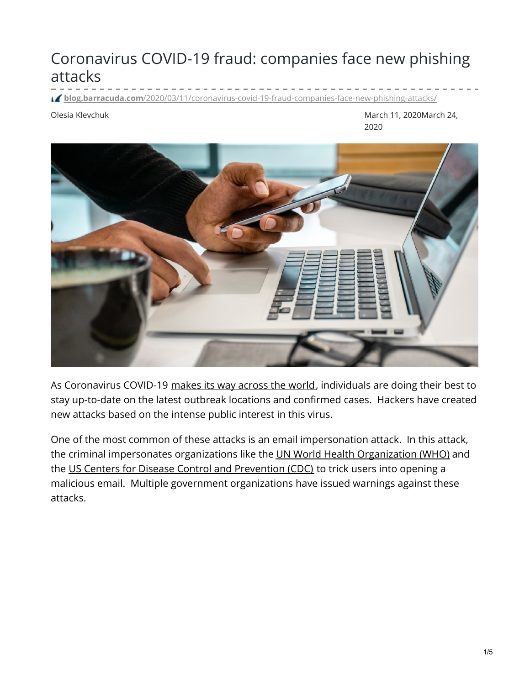# Coronavirus COVID-19 fraud: companies face new phishing attacks

**blog.barracuda.com**[/2020/03/11/coronavirus-covid-19-fraud-companies-face-new-phishing-attacks/](https://blog.barracuda.com/2020/03/11/coronavirus-covid-19-fraud-companies-face-new-phishing-attacks/)

Olesia Klevchuk March 11, 2020March 24, 2020



As Coronavirus COVID-19 [makes](https://www.arcgis.com/apps/opsdashboard/index.html#/bda7594740fd40299423467b48e9ecf6) its way across the world, individuals are doing their best to stay up-to-date on the latest outbreak locations and confirmed cases. Hackers have created new attacks based on the intense public interest in this virus.

One of the most common of these attacks is an email impersonation attack. In this attack, the criminal impersonates organizations like the UN World Health [Organization](https://www.who.int/) (WHO) and the US Centers for Disease Control and [Prevention](https://www.cdc.gov/) (CDC) to trick users into opening a malicious email. Multiple government organizations have issued warnings against these attacks.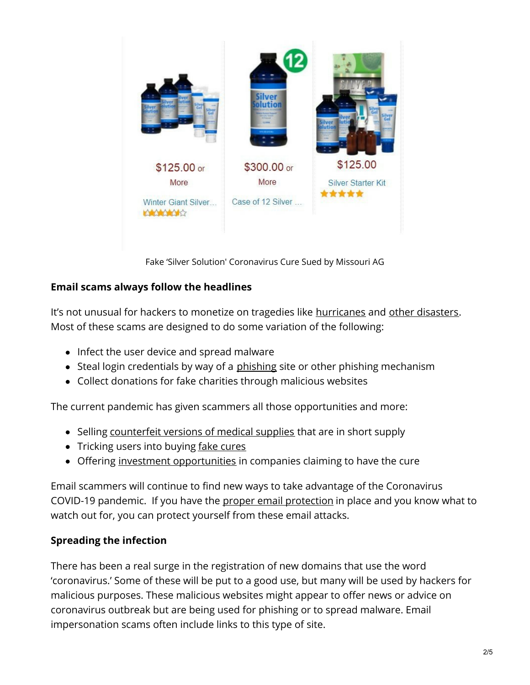

Fake 'Silver Solution' Coronavirus Cure Sued by Missouri AG

### **Email scams always follow the headlines**

It's not unusual for hackers to monetize on tragedies like [hurricanes](https://www.us-cert.gov/ncas/current-activity/2019/05/30/Hurricane-Related-Scams) and other [disasters](https://www.us-cert.gov/ncas/current-activity/2011/03/11/Japan-Earthquake-and-Tsunami-Disaster-Email-Scams-Fake-Antivirus). Most of these scams are designed to do some variation of the following:

- Infect the user device and spread malware
- Steal login credentials by way of a [phishing](https://blog.barracuda.com/spearphishing) site or other phishing mechanism
- Collect donations for fake charities through malicious websites

The current pandemic has given scammers all those opportunities and more:

- Selling [counterfeit](https://www.asiaone.com/china/china-has-seized-31-million-fake-face-masks-amid-crisis) versions of medical supplies that are in short supply
- Tricking users into buying fake [cures](https://www.consumer.ftc.gov/blog/2020/03/ftc-fda-warnings-sent-sellers-scam-coronavirus-treatments)
- Offering investment [opportunities](https://www.sec.gov/oiea/investor-alerts-and-bulletins/ia_coronavirus) in companies claiming to have the cure

Email scammers will continue to find new ways to take advantage of the Coronavirus COVID-19 pandemic. If you have the proper email [protection](https://www.barracuda.com/products/totalemailprotection?utm_source=blog&utm_medium=39586) in place and you know what to watch out for, you can protect yourself from these email attacks.

## **Spreading the infection**

There has been a real surge in the registration of new domains that use the word 'coronavirus.' Some of these will be put to a good use, but many will be used by hackers for malicious purposes. These malicious websites might appear to offer news or advice on coronavirus outbreak but are being used for phishing or to spread malware. Email impersonation scams often include links to this type of site.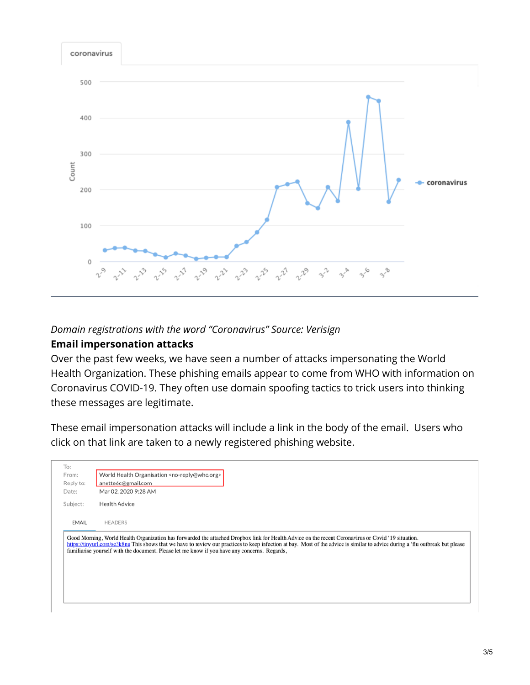

#### *Domain registrations with the word "Coronavirus" Source: Verisign*

#### **Email impersonation attacks**

Over the past few weeks, we have seen a number of attacks impersonating the World Health Organization. These phishing emails appear to come from WHO with information on Coronavirus COVID-19. They often use domain spoofing tactics to trick users into thinking these messages are legitimate.

These email impersonation attacks will include a link in the body of the email. Users who click on that link are taken to a newly registered phishing website.

| https://tinyurl.com/se3k8nu This shows that we have to review our practices to keep infection at bay. Most of the advice is similar to advice during a 'flu outbreak but please |
|---------------------------------------------------------------------------------------------------------------------------------------------------------------------------------|
|                                                                                                                                                                                 |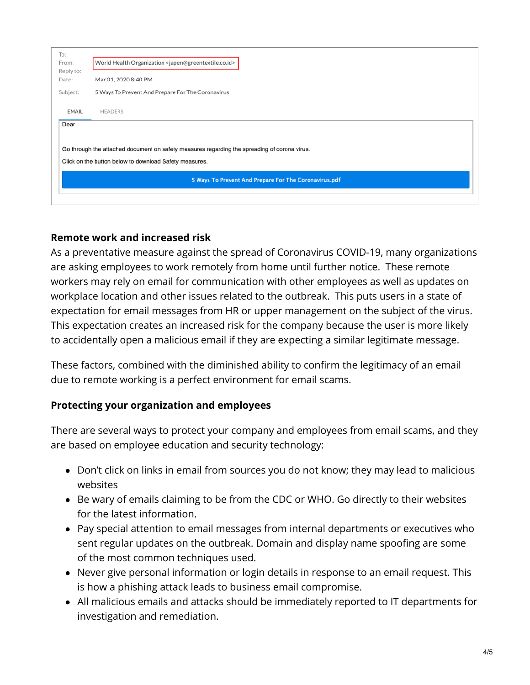| To:<br>From:<br>Reply to:<br>Date:                                                                                                                     | World Health Organization <japen@greentextile.co.id></japen@greentextile.co.id> |  |
|--------------------------------------------------------------------------------------------------------------------------------------------------------|---------------------------------------------------------------------------------|--|
|                                                                                                                                                        | Mar 01, 2020 8:40 PM                                                            |  |
| Subject:                                                                                                                                               | 5 Ways To Prevent And Prepare For The Coronavirus                               |  |
| <b>EMAIL</b>                                                                                                                                           | <b>HEADERS</b>                                                                  |  |
| Dear                                                                                                                                                   |                                                                                 |  |
| Go through the attached document on safety measures regarding the spreading of corona virus.<br>Click on the button below to download Safety measures. |                                                                                 |  |
| 5 Ways To Prevent And Prepare For The Coronavirus.pdf                                                                                                  |                                                                                 |  |
|                                                                                                                                                        |                                                                                 |  |

#### **Remote work and increased risk**

As a preventative measure against the spread of Coronavirus COVID-19, many organizations are asking employees to work remotely from home until further notice. These remote workers may rely on email for communication with other employees as well as updates on workplace location and other issues related to the outbreak. This puts users in a state of expectation for email messages from HR or upper management on the subject of the virus. This expectation creates an increased risk for the company because the user is more likely to accidentally open a malicious email if they are expecting a similar legitimate message.

These factors, combined with the diminished ability to confirm the legitimacy of an email due to remote working is a perfect environment for email scams.

#### **Protecting your organization and employees**

There are several ways to protect your company and employees from email scams, and they are based on employee education and security technology:

- Don't click on links in email from sources you do not know; they may lead to malicious websites
- Be wary of emails claiming to be from the CDC or WHO. Go directly to their websites for the latest information.
- Pay special attention to email messages from internal departments or executives who sent regular updates on the outbreak. Domain and display name spoofing are some of the most common techniques used.
- Never give personal information or login details in response to an email request. This is how a phishing attack leads to business email compromise.
- All malicious emails and attacks should be immediately reported to IT departments for investigation and remediation.